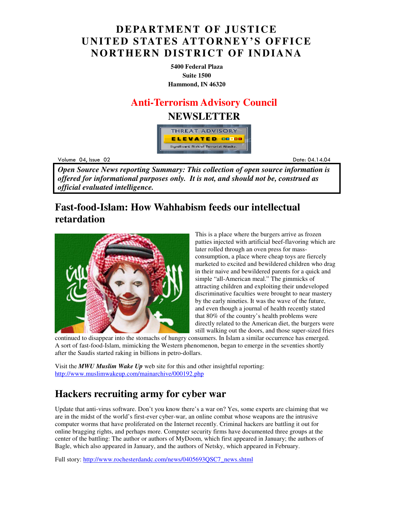## **DEPARTMENT OF JUSTICE UNITED STATES ATTORNEY'S OFFICE NORTHERN DISTRICT OF INDIANA**

**5400 Federal Plaza Suite 1500 Hammond, IN 46320**

### **Anti-Terrorism Advisory Council**

### **NEWSLETTER**



Volume 04

example to the contract of the contract of the contract of the contract of the contract of the contract of the contract of the contract of the contract of the contract of the contract of the contract of the contract of the .14.04

*Open Source News reporting Summary: This collection of open source information is offered for informational purposes only. It is not, and should not be, construed as official evaluated intelligence.*

## **Fast-food-Islam: How Wahhabism feeds our intellectual retardation**



This is a place where the burgers arrive as frozen patties injected with artificial beef-flavoring which are later rolled through an oven press for massconsumption, a place where cheap toys are fiercely marketed to excited and bewildered children who drag in their naive and bewildered parents for a quick and simple "all-American meal." The gimmicks of attracting children and exploiting their undeveloped discriminative faculties were brought to near mastery by the early nineties. It was the wave of the future, and even though a journal of health recently stated that 80% of the country's health problems were directly related to the American diet, the burgers were still walking out the doors, and those super-sized fries

continued to disappear into the stomachs of hungry consumers. In Islam a similar occurrence has emerged. A sort of fast-food-Islam, mimicking the Western phenomenon, began to emerge in the seventies shortly after the Saudis started raking in billions in petro-dollars.

Visit the *MWU Muslim Wake Up* web site for this and other insightful reporting: http://www.muslimwakeup.com/mainarchive/000192.php

## **Hackers recruiting army for cyber war**

Update that anti-virus software. Don't you know there's a war on? Yes, some experts are claiming that we are in the midst of the world's first-ever cyber-war, an online combat whose weapons are the intrusive computer worms that have proliferated on the Internet recently. Criminal hackers are battling it out for online bragging rights, and perhaps more. Computer security firms have documented three groups at the center of the battling: The author or authors of MyDoom, which first appeared in January; the authors of Bagle, which also appeared in January, and the authors of Netsky, which appeared in February.

Full story: http://www.rochesterdandc.com/news/0405693QSC7\_news.shtml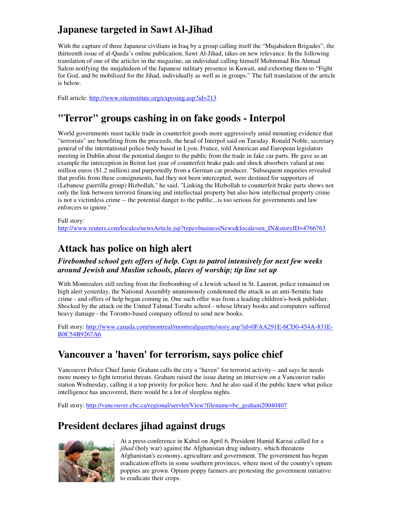# **Japanese targeted in Sawt Al-Jihad**

With the capture of three Japanese civilians in Iraq by a group calling itself the "Mujahideen Brigades", the thirteenth issue of al-Qaeda's online publication, Sawt Al-Jihad, takes on new relevance. In the following translation of one of the articles in the magazine, an individual calling himself Mohmmad Bin Ahmad Salem notifying the mujahideen of the Japanese military presence in Kuwait, and exhorting them to "Fight for God, and be mobilized for the Jihad, individually as well as in groups." The full translation of the article is below.

Full article: http://www.siteinstitute.org/exposing.asp?id=213

# **"Terror" groups cashing in on fake goods - Interpol**

World governments must tackle trade in counterfeit goods more aggressively amid mounting evidence that "terrorists" are benefiting from the proceeds, the head of Interpol said on Tuesday. Ronald Noble, secretary general of the international police body based in Lyon, France, told American and European legislators meeting in Dublin about the potential danger to the public from the trade in fake car parts. He gave as an example the interception in Beirut last year of counterfeit brake pads and shock absorbers valued at one million euros (\$1.2 million) and purportedly from a German car producer. "Subsequent enquiries revealed that profits from these consignments, had they not been intercepted, were destined for supporters of (Lebanese guerrilla group) Hizbollah," he said. "Linking the Hizbollah to counterfeit brake parts shows not only the link between terrorist financing and intellectual property but also how intellectual property crime is not a victimless crime -- the potential danger to the public...is too serious for governments and law enforcers to ignore."

#### Full story:

http://www.reuters.com/locales/newsArticle.jsp?type=businessNews&locale=en\_IN&storyID=4766763

### **Attack has police on high alert**

### *Firebombed school gets offers of help. Cops to patrol intensively for next few weeks around Jewish and Muslim schools, places of worship; tip line set up*

With Montrealers still reeling from the firebombing of a Jewish school in St. Laurent, police remained on high alert yesterday, the National Assembly unanimously condemned the attack as an anti-Semitic hate crime - and offers of help began coming in. One such offer was from a leading children's-book publisher. Shocked by the attack on the United Talmud Torahs school - whose library books and computers suffered heavy damage - the Toronto-based company offered to send new books.

Full story: http://www.canada.com/montreal/montrealgazette/story.asp?id=0FAA291E-6CD0-454A-831E-B0C54B9267A6

### **Vancouver a 'haven' for terrorism, says police chief**

Vancouver Police Chief Jamie Graham calls the city a "haven" for terrorist activity – and says he needs more money to fight terrorist threats. Graham raised the issue during an interview on a Vancouver radio station Wednesday, calling it a top priority for police here. And he also said if the public knew what police intelligence has uncovered, there would be a lot of sleepless nights.

Full story: http://vancouver.cbc.ca/regional/servlet/View?filename=bc\_graham20040407

## **President declares jihad against drugs**



At a press conference in Kabul on April 6, President Hamid Karzai called for a *jihad* (holy war) against the Afghanistan drug industry, which threatens Afghanistan's economy, agriculture and government. The government has begun eradication efforts in some southern provinces, where most of the country's opium poppies are grown. Opium poppy farmers are protesting the government initiative to eradicate their crops.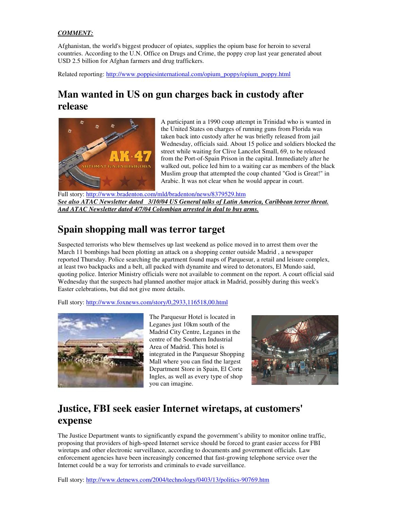### *COMMENT:*

Afghanistan, the world's biggest producer of opiates, supplies the opium base for heroin to several countries. According to the U.N. Office on Drugs and Crime, the poppy crop last year generated about USD 2.5 billion for Afghan farmers and drug traffickers.

Related reporting: http://www.poppiesinternational.com/opium\_poppy/opium\_poppy.html

### **Man wanted in US on gun charges back in custody after release**



A participant in a 1990 coup attempt in Trinidad who is wanted in the United States on charges of running guns from Florida was taken back into custody after he was briefly released from jail Wednesday, officials said. About 15 police and soldiers blocked the street while waiting for Clive Lancelot Small, 69, to be released from the Port-of-Spain Prison in the capital. Immediately after he walked out, police led him to a waiting car as members of the black Muslim group that attempted the coup chanted "God is Great!" in Arabic. It was not clear when he would appear in court.

Full story: http://www.bradenton.com/mld/bradenton/news/8379529.htm *See also ATAC Newsletter dated 3/10/04 US General talks of Latin America, Caribbean terror threat. And ATAC Newsletter dated 4/7/04 Colombian arrested in deal to buy arms.*

### **Spain shopping mall was terror target**

Suspected terrorists who blew themselves up last weekend as police moved in to arrest them over the March 11 bombings had been plotting an attack on a shopping center outside Madrid , a newspaper reported Thursday. Police searching the apartment found maps of Parquesur, a retail and leisure complex, at least two backpacks and a belt, all packed with dynamite and wired to detonators, El Mundo said, quoting police. Interior Ministry officials were not available to comment on the report. A court official said Wednesday that the suspects had planned another major attack in Madrid, possibly during this week's Easter celebrations, but did not give more details.

Full story: http://www.foxnews.com/story/0,2933,116518,00.html



The Parquesur Hotel is located in Leganes just 10km south of the Madrid City Centre, Leganes in the centre of the Southern Industrial Area of Madrid. This hotel is integrated in the Parquesur Shopping Mall where you can find the largest Department Store in Spain, El Corte Ingles, as well as every type of shop you can imagine.



## **Justice, FBI seek easier Internet wiretaps, at customers' expense**

The Justice Department wants to significantly expand the government's ability to monitor online traffic, proposing that providers of high-speed Internet service should be forced to grant easier access for FBI wiretaps and other electronic surveillance, according to documents and government officials. Law enforcement agencies have been increasingly concerned that fast-growing telephone service over the Internet could be a way for terrorists and criminals to evade surveillance.

Full story: http://www.detnews.com/2004/technology/0403/13/politics-90769.htm